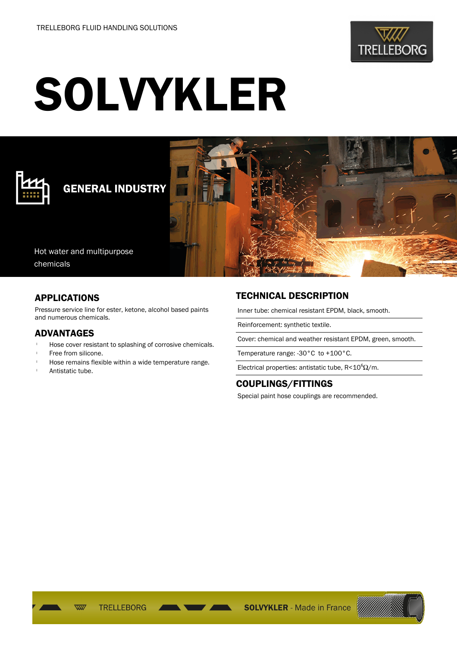

# SOLVYKLER



## GENERAL INDUSTRY



Hot water and multipurpose chemicals

#### APPLICATIONS

Pressure service line for ester, ketone, alcohol based paints and numerous chemicals.

#### ADVANTAGES

- Hose cover resistant to splashing of corrosive chemicals.
- Free from silicone.
- Hose remains flexible within a wide temperature range.
- Antistatic tube.

### TECHNICAL DESCRIPTION

Inner tube: chemical resistant EPDM, black, smooth.

Reinforcement: synthetic textile.

Cover: chemical and weather resistant EPDM, green, smooth.

Temperature range: -30°C to +100°C.

Electrical properties: antistatic tube,  $R < 10^6 \Omega/m$ .

#### COUPLINGS/FITTINGS

Special paint hose couplings are recommended.